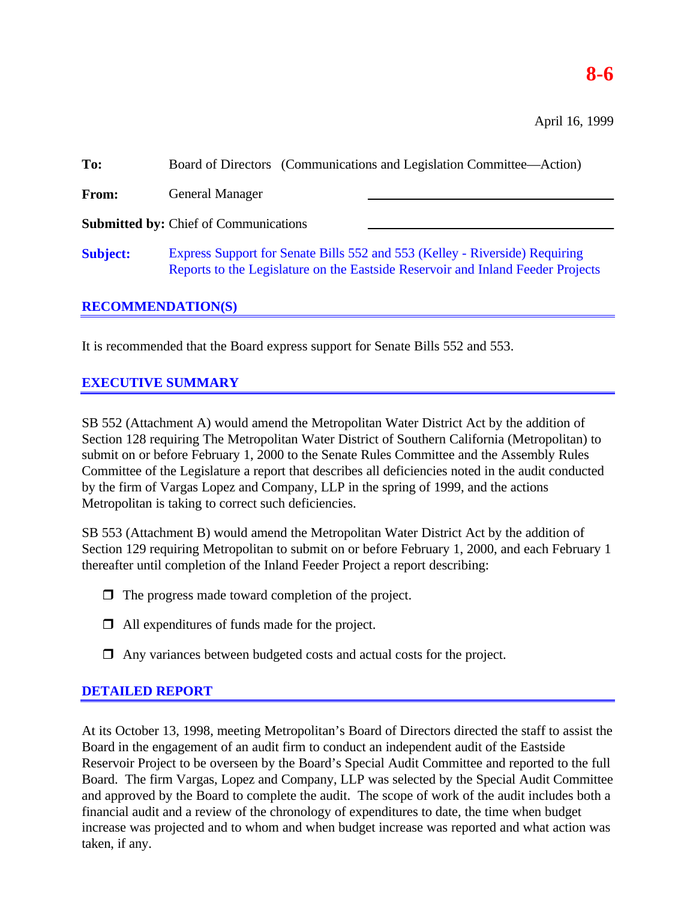# **8-6**

April 16, 1999

| To:             | Board of Directors (Communications and Legislation Committee—Action)                                                                                           |
|-----------------|----------------------------------------------------------------------------------------------------------------------------------------------------------------|
| From:           | <b>General Manager</b>                                                                                                                                         |
|                 | <b>Submitted by: Chief of Communications</b>                                                                                                                   |
| <b>Subject:</b> | Express Support for Senate Bills 552 and 553 (Kelley - Riverside) Requiring<br>Reports to the Legislature on the Eastside Reservoir and Inland Feeder Projects |

### **RECOMMENDATION(S)**

It is recommended that the Board express support for Senate Bills 552 and 553.

## **EXECUTIVE SUMMARY**

SB 552 (Attachment A) would amend the Metropolitan Water District Act by the addition of Section 128 requiring The Metropolitan Water District of Southern California (Metropolitan) to submit on or before February 1, 2000 to the Senate Rules Committee and the Assembly Rules Committee of the Legislature a report that describes all deficiencies noted in the audit conducted by the firm of Vargas Lopez and Company, LLP in the spring of 1999, and the actions Metropolitan is taking to correct such deficiencies.

SB 553 (Attachment B) would amend the Metropolitan Water District Act by the addition of Section 129 requiring Metropolitan to submit on or before February 1, 2000, and each February 1 thereafter until completion of the Inland Feeder Project a report describing:

- $\Box$  The progress made toward completion of the project.
- $\Box$  All expenditures of funds made for the project.
- $\Box$  Any variances between budgeted costs and actual costs for the project.

## **DETAILED REPORT**

At its October 13, 1998, meeting Metropolitan's Board of Directors directed the staff to assist the Board in the engagement of an audit firm to conduct an independent audit of the Eastside Reservoir Project to be overseen by the Board's Special Audit Committee and reported to the full Board. The firm Vargas, Lopez and Company, LLP was selected by the Special Audit Committee and approved by the Board to complete the audit. The scope of work of the audit includes both a financial audit and a review of the chronology of expenditures to date, the time when budget increase was projected and to whom and when budget increase was reported and what action was taken, if any.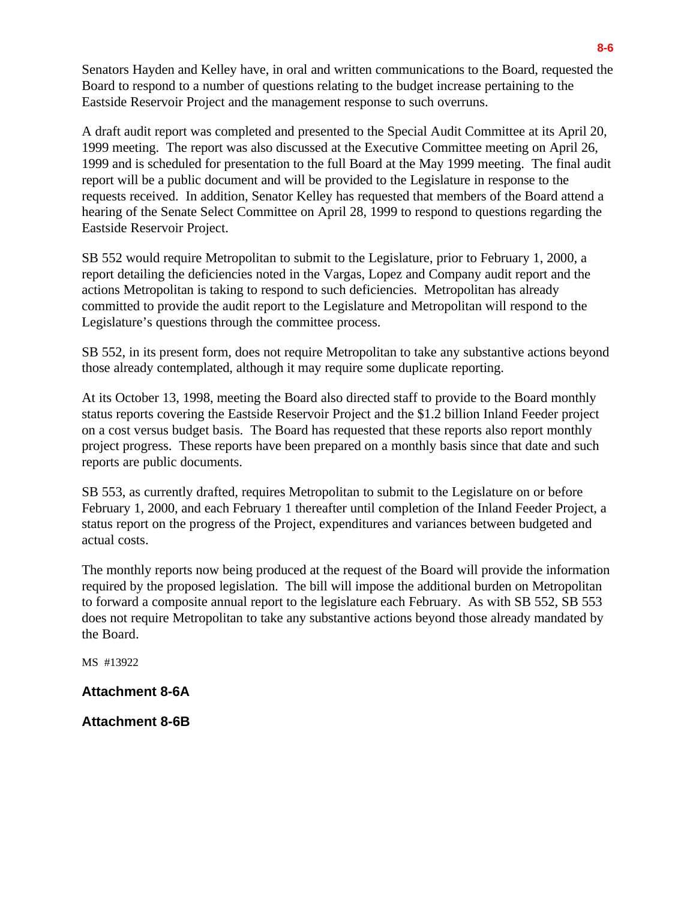Senators Hayden and Kelley have, in oral and written communications to the Board, requested the Board to respond to a number of questions relating to the budget increase pertaining to the Eastside Reservoir Project and the management response to such overruns.

A draft audit report was completed and presented to the Special Audit Committee at its April 20, 1999 meeting. The report was also discussed at the Executive Committee meeting on April 26, 1999 and is scheduled for presentation to the full Board at the May 1999 meeting. The final audit report will be a public document and will be provided to the Legislature in response to the requests received. In addition, Senator Kelley has requested that members of the Board attend a hearing of the Senate Select Committee on April 28, 1999 to respond to questions regarding the Eastside Reservoir Project.

SB 552 would require Metropolitan to submit to the Legislature, prior to February 1, 2000, a report detailing the deficiencies noted in the Vargas, Lopez and Company audit report and the actions Metropolitan is taking to respond to such deficiencies. Metropolitan has already committed to provide the audit report to the Legislature and Metropolitan will respond to the Legislature's questions through the committee process.

SB 552, in its present form, does not require Metropolitan to take any substantive actions beyond those already contemplated, although it may require some duplicate reporting.

At its October 13, 1998, meeting the Board also directed staff to provide to the Board monthly status reports covering the Eastside Reservoir Project and the \$1.2 billion Inland Feeder project on a cost versus budget basis. The Board has requested that these reports also report monthly project progress. These reports have been prepared on a monthly basis since that date and such reports are public documents.

SB 553, as currently drafted, requires Metropolitan to submit to the Legislature on or before February 1, 2000, and each February 1 thereafter until completion of the Inland Feeder Project, a status report on the progress of the Project, expenditures and variances between budgeted and actual costs.

The monthly reports now being produced at the request of the Board will provide the information required by the proposed legislation. The bill will impose the additional burden on Metropolitan to forward a composite annual report to the legislature each February. As with SB 552, SB 553 does not require Metropolitan to take any substantive actions beyond those already mandated by the Board.

MS #13922

**Attachment 8-6A**

**Attachment 8-6B**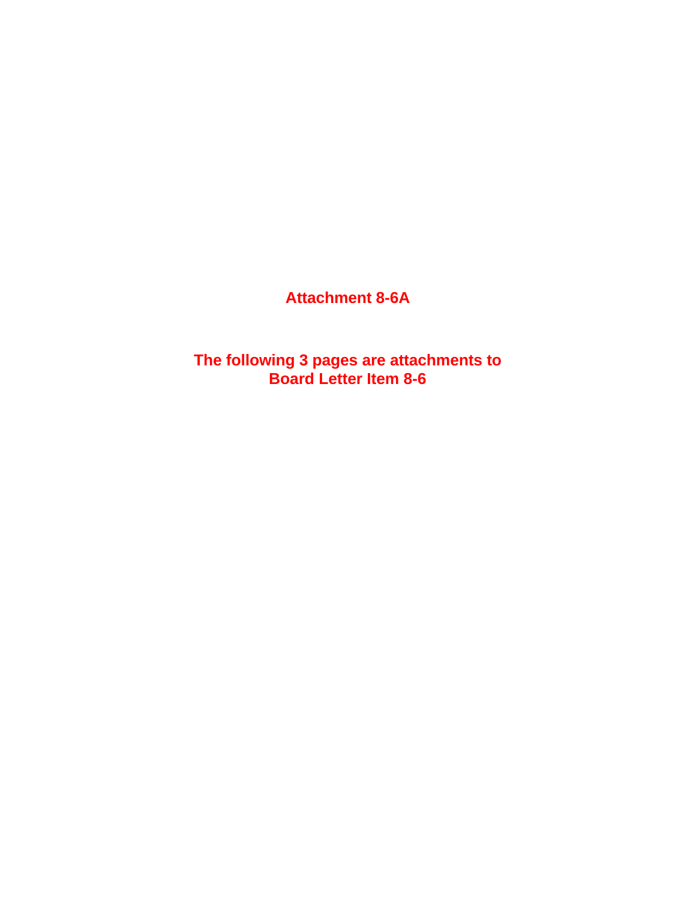## **Attachment 8-6A**

**The following 3 pages are attachments to Board Letter Item 8-6**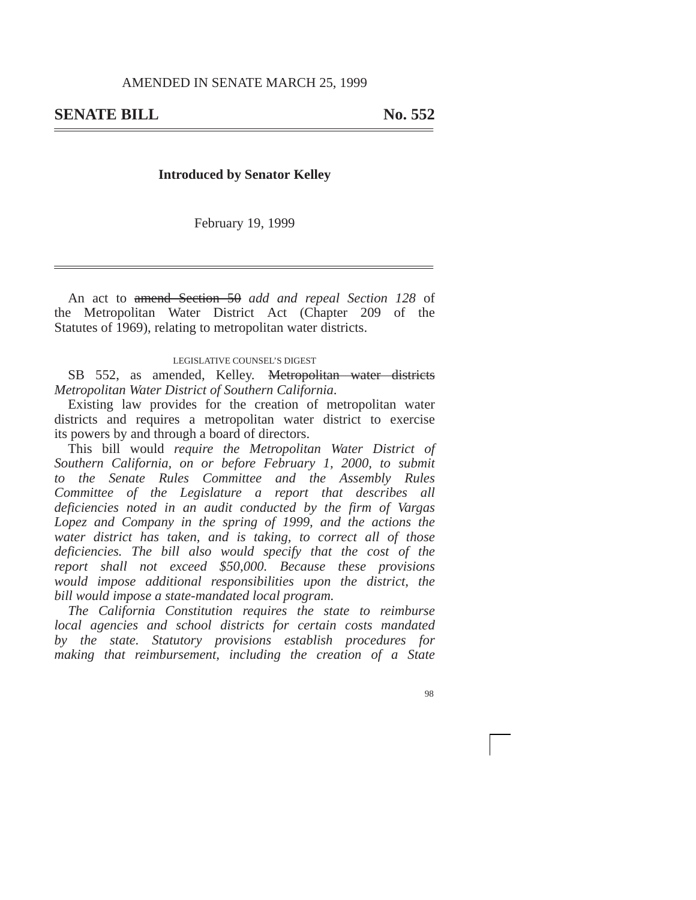### **Introduced by Senator Kelley**

February 19, 1999

An act to amend Section 50 *add and repeal Section 128* of the Metropolitan Water District Act (Chapter 209 of the Statutes of 1969), relating to metropolitan water districts.

#### LEGISLATIVE COUNSEL'S DIGEST

SB 552, as amended, Kelley. <del>Metropolitan water districts</del> *Metropolitan Water District of Southern California*.

Existing law provides for the creation of metropolitan water districts and requires a metropolitan water district to exercise its powers by and through a board of directors.

This bill would *require the Metropolitan Water District of Southern California, on or before February 1, 2000, to submit to the Senate Rules Committee and the Assembly Rules Committee of the Legislature a report that describes all deficiencies noted in an audit conducted by the firm of Vargas Lopez and Company in the spring of 1999, and the actions the water district has taken, and is taking, to correct all of those deficiencies. The bill also would specify that the cost of the report shall not exceed \$50,000. Because these provisions would impose additional responsibilities upon the district, the bill would impose a state-mandated local program.*

*The California Constitution requires the state to reimburse local agencies and school districts for certain costs mandated by the state. Statutory provisions establish procedures for making that reimbursement, including the creation of a State*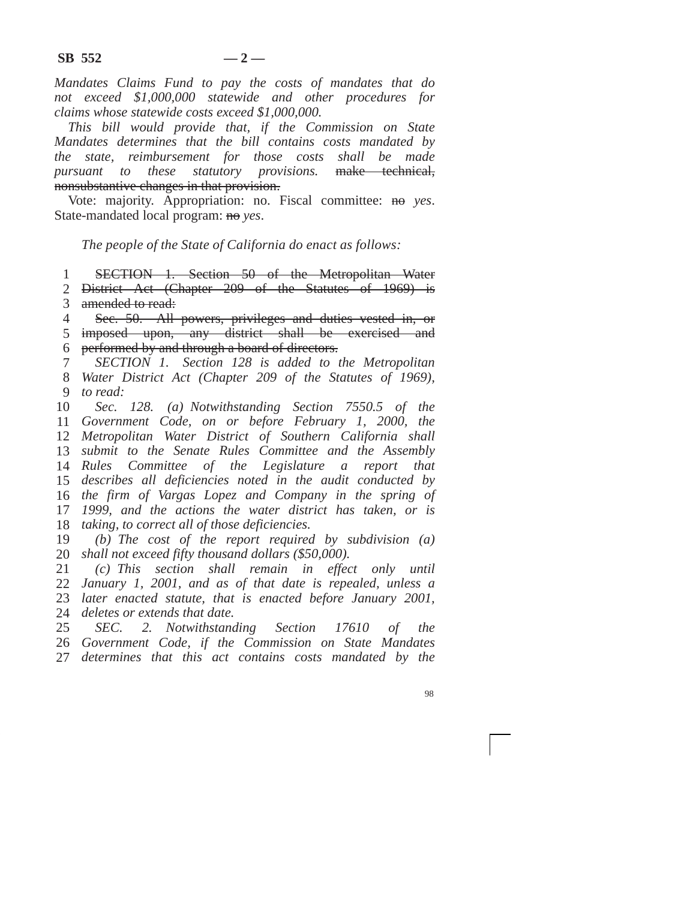*Mandates Claims Fund to pay the costs of mandates that do not exceed \$1,000,000 statewide and other procedures for claims whose statewide costs exceed \$1,000,000.*

*This bill would provide that, if the Commission on State Mandates determines that the bill contains costs mandated by the state, reimbursement for those costs shall be made pursuant to these statutory provisions.* make technical, nonsubstantive changes in that provision.

Vote: majority. Appropriation: no. Fiscal committee: no *yes*. State-mandated local program: no *yes*.

*The people of the State of California do enact as follows:*

1 SECTION 1. Section 50 of the Metropolitan Water

2 District Act (Chapter 209 of the Statutes of 1969) is 3 amended to read:

4 Sec. 50. All powers, privileges and duties vested in, or

5 imposed upon, any district shall be exercised and 6 performed by and through a board of directors.

7 8 9 *SECTION 1. Section 128 is added to the Metropolitan Water District Act (Chapter 209 of the Statutes of 1969), to read:*

10 *Government Code, on or before February 1, 2000, the Metropolitan Water District of Southern California shall submit to the Senate Rules Committee and the Assembly Rules Committee of the Legislature a report that describes all deficiencies noted in the audit conducted by the firm of Vargas Lopez and Company in the spring of 1999, and the actions the water district has taken, or is taking, to correct all of those deficiencies. Sec. 128. (a) Notwithstanding Section 7550.5 of the*

19 20 *shall not exceed fifty thousand dollars (\$50,000). (b) The cost of the report required by subdivision (a)*

21 22 *January 1, 2001, and as of that date is repealed, unless a* 23 *later enacted statute, that is enacted before January 2001,* 24 *deletes or extends that date. (c) This section shall remain in effect only until*

25 26 *Government Code, if the Commission on State Mandates* 27 *determines that this act contains costs mandated by theSEC. 2. Notwithstanding Section 17610 of the*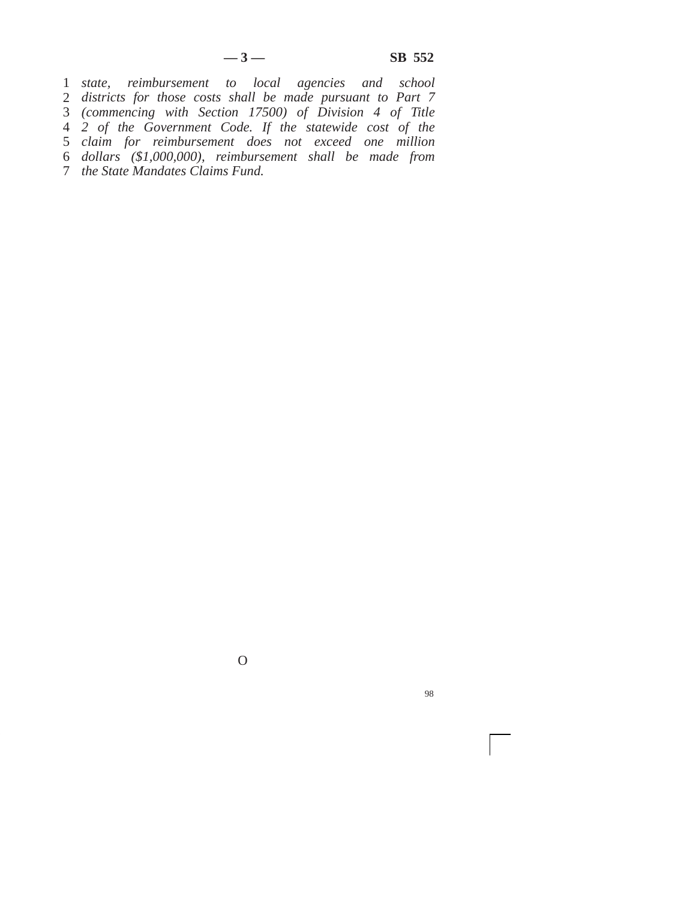*state, reimbursement to local agencies and school districts for those costs shall be made pursuant to Part 7 (commencing with Section 17500) of Division 4 of Title 2 of the Government Code. If the statewide cost of the claim for reimbursement does not exceed one million dollars (\$1,000,000), reimbursement shall be made from the State Mandates Claims Fund.*

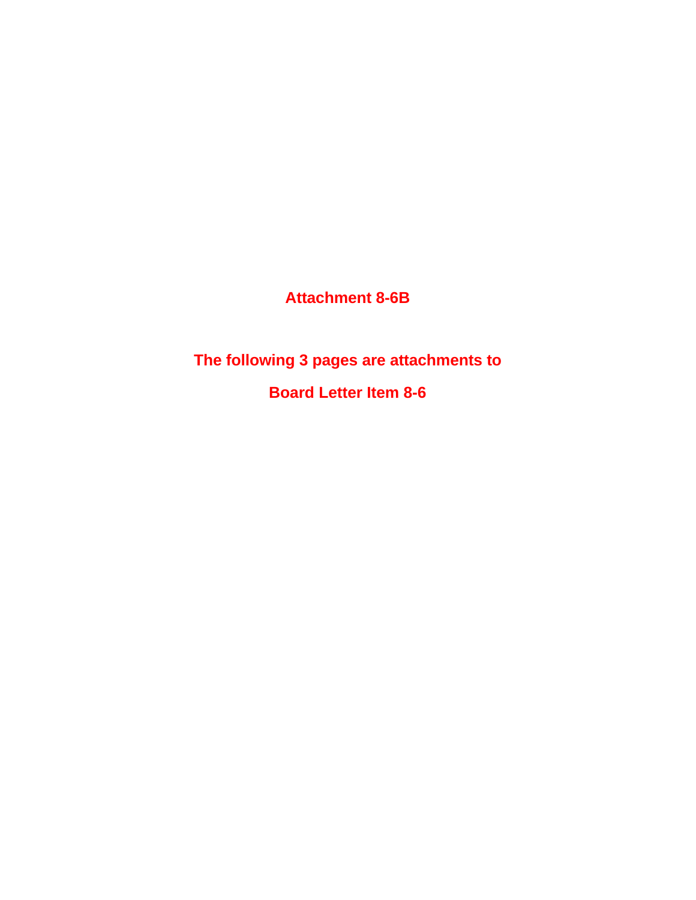**Attachment 8-6B**

**The following 3 pages are attachments to**

**Board Letter Item 8-6**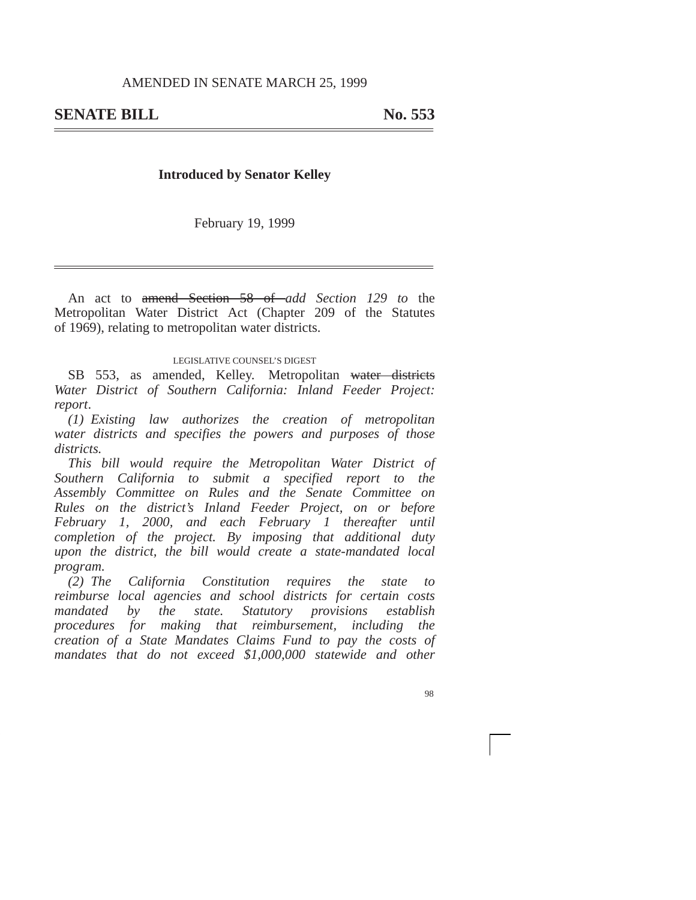### **Introduced by Senator Kelley**

February 19, 1999

An act to amend Section 58 of *add Section 129 to* the Metropolitan Water District Act (Chapter 209 of the Statutes of 1969), relating to metropolitan water districts.

### LEGISLATIVE COUNSEL'S DIGEST

SB 553, as amended, Kelley. Metropolitan water districts *Water District of Southern California: Inland Feeder Project: report*.

*(1) Existing law authorizes the creation of metropolitan water districts and specifies the powers and purposes of those districts.*

*This bill would require the Metropolitan Water District of Southern California to submit a specified report to the Assembly Committee on Rules and the Senate Committee on Rules on the district's Inland Feeder Project, on or before February 1, 2000, and each February 1 thereafter until completion of the project. By imposing that additional duty upon the district, the bill would create a state-mandated local program.*

*(2) The California Constitution requires the state to reimburse local agencies and school districts for certain costs mandated by the state. Statutory provisions establish procedures for making that reimbursement, including the creation of a State Mandates Claims Fund to pay the costs of mandates that do not exceed \$1,000,000 statewide and other*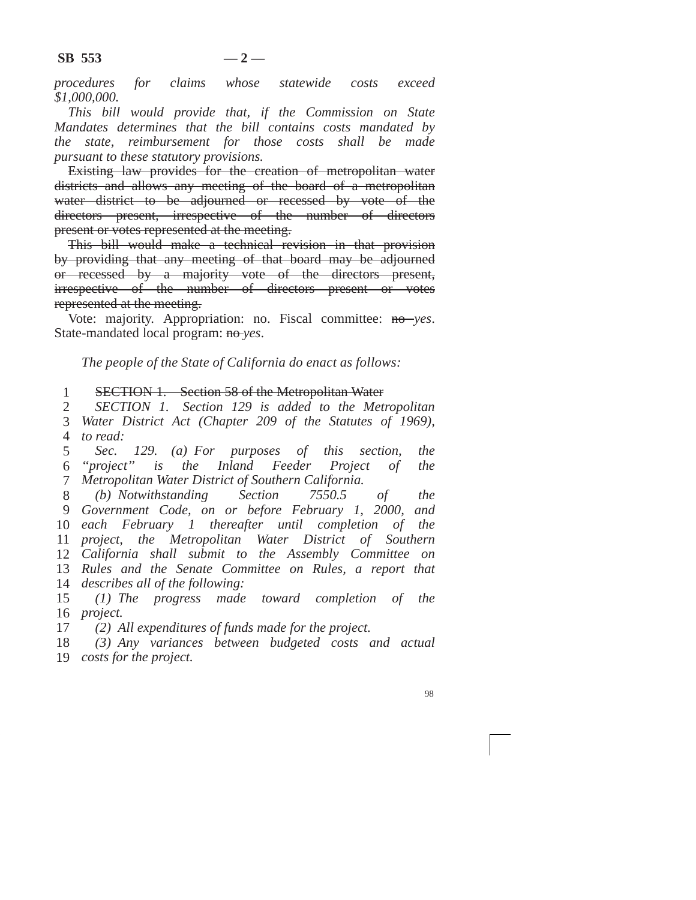*procedures for claims whose statewide costs exceed \$1,000,000.*

*This bill would provide that, if the Commission on State Mandates determines that the bill contains costs mandated by the state, reimbursement for those costs shall be made pursuant to these statutory provisions.*

Existing law provides for the creation of metropolitan water districts and allows any meeting of the board of a metropolitan water district to be adjourned or recessed by vote of the directors present, irrespective of the number of directors present or votes represented at the meeting.

This bill would make a technical revision in that provision by providing that any meeting of that board may be adjourned or recessed by a majority vote of the directors present, irrespective of the number of directors present or votes represented at the meeting.

Vote: majority. Appropriation: no. Fiscal committee: no *yes*. State-mandated local program: no *yes*.

*The people of the State of California do enact as follows:*

1 SECTION 1. Section 58 of the Metropolitan Water

2 3 4 *to read: SECTION 1. Section 129 is added to the Metropolitan Water District Act (Chapter 209 of the Statutes of 1969),*

5 6 7 *Metropolitan Water District of Southern California. Sec. 129. (a) For purposes of this section, the ''project'' is the Inland Feeder Project of the*

8 *Government Code, on or before February 1, 2000, and each February 1 thereafter until completion of the project, the Metropolitan Water District of Southern California shall submit to the Assembly Committee on Rules and the Senate Committee on Rules, a report that describes all of the following: (b) Notwithstanding Section 7550.5 of the*

15 16 *project. (1) The progress made toward completion of the*

17 *(2) All expenditures of funds made for the project.*

18 19 *costs for the project.(3) Any variances between budgeted costs and actual*